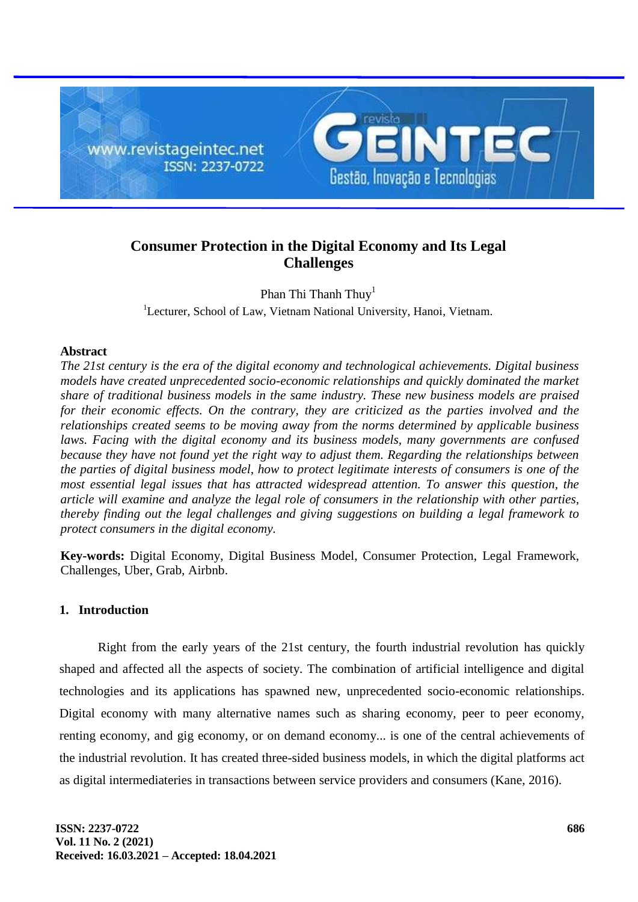

# **Consumer Protection in the Digital Economy and Its Legal Challenges**

Phan Thi Thanh Thuy<sup>1</sup> <sup>1</sup>Lecturer, School of Law, Vietnam National University, Hanoi, Vietnam.

# **Abstract**

*The 21st century is the era of the digital economy and technological achievements. Digital business models have created unprecedented socio-economic relationships and quickly dominated the market share of traditional business models in the same industry. These new business models are praised for their economic effects. On the contrary, they are criticized as the parties involved and the relationships created seems to be moving away from the norms determined by applicable business laws. Facing with the digital economy and its business models, many governments are confused because they have not found yet the right way to adjust them. Regarding the relationships between the parties of digital business model, how to protect legitimate interests of consumers is one of the most essential legal issues that has attracted widespread attention. To answer this question, the article will examine and analyze the legal role of consumers in the relationship with other parties, thereby finding out the legal challenges and giving suggestions on building a legal framework to protect consumers in the digital economy.*

**Key-words:** Digital Economy, Digital Business Model, Consumer Protection, Legal Framework, Challenges, Uber, Grab, Airbnb.

# **1. Introduction**

Right from the early years of the 21st century, the fourth industrial revolution has quickly shaped and affected all the aspects of society. The combination of artificial intelligence and digital technologies and its applications has spawned new, unprecedented socio-economic relationships. Digital economy with many alternative names such as sharing economy, peer to peer economy, renting economy, and gig economy, or on demand economy... is one of the central achievements of the industrial revolution. It has created three-sided business models, in which the digital platforms act as digital intermediateries in transactions between service providers and consumers (Kane, 2016).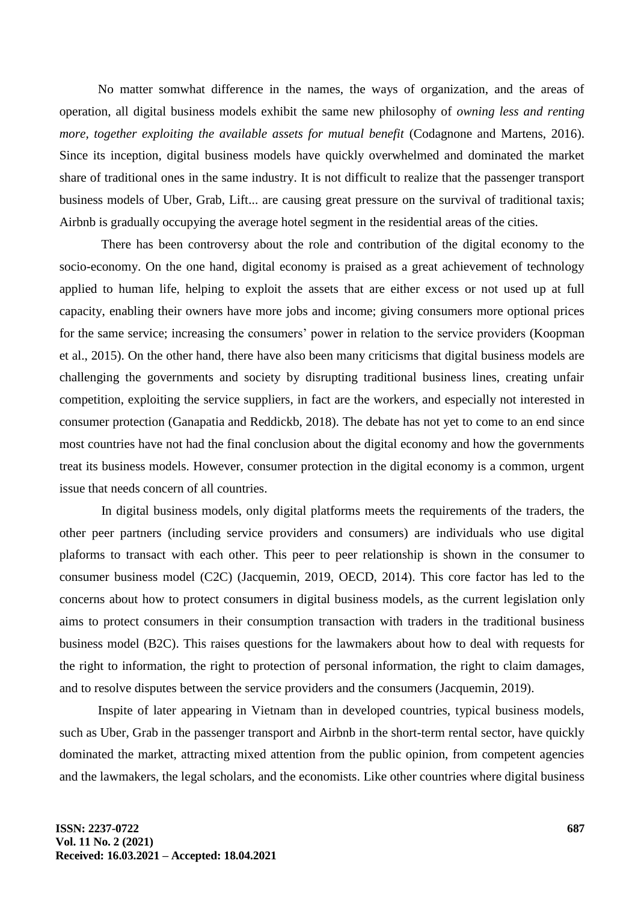No matter somwhat difference in the names, the ways of organization, and the areas of operation, all digital business models exhibit the same new philosophy of *owning less and renting more, together exploiting the available assets for mutual benefit* (Codagnone and Martens, 2016). Since its inception, digital business models have quickly overwhelmed and dominated the market share of traditional ones in the same industry. It is not difficult to realize that the passenger transport business models of Uber, Grab, Lift... are causing great pressure on the survival of traditional taxis; Airbnb is gradually occupying the average hotel segment in the residential areas of the cities.

There has been controversy about the role and contribution of the digital economy to the socio-economy. On the one hand, digital economy is praised as a great achievement of technology applied to human life, helping to exploit the assets that are either excess or not used up at full capacity, enabling their owners have more jobs and income; giving consumers more optional prices for the same service; increasing the consumers' power in relation to the service providers (Koopman et al., 2015). On the other hand, there have also been many criticisms that digital business models are challenging the governments and society by disrupting traditional business lines, creating unfair competition, exploiting the service suppliers, in fact are the workers, and especially not interested in consumer protection (Ganapatia and Reddickb, 2018). The debate has not yet to come to an end since most countries have not had the final conclusion about the digital economy and how the governments treat its business models. However, consumer protection in the digital economy is a common, urgent issue that needs concern of all countries.

In digital business models, only digital platforms meets the requirements of the traders, the other peer partners (including service providers and consumers) are individuals who use digital plaforms to transact with each other. This peer to peer relationship is shown in the consumer to consumer business model (C2C) (Jacquemin, 2019, OECD, 2014). This core factor has led to the concerns about how to protect consumers in digital business models, as the current legislation only aims to protect consumers in their consumption transaction with traders in the traditional business business model (B2C). This raises questions for the lawmakers about how to deal with requests for the right to information, the right to protection of personal information, the right to claim damages, and to resolve disputes between the service providers and the consumers (Jacquemin, 2019).

Inspite of later appearing in Vietnam than in developed countries, typical business models, such as Uber, Grab in the passenger transport and Airbnb in the short-term rental sector, have quickly dominated the market, attracting mixed attention from the public opinion, from competent agencies and the lawmakers, the legal scholars, and the economists. Like other countries where digital business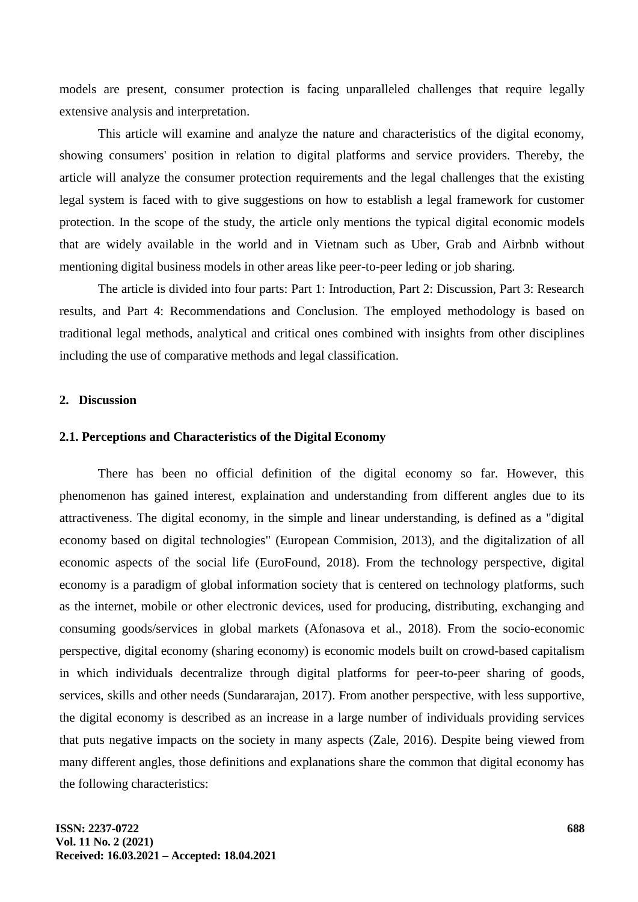models are present, consumer protection is facing unparalleled challenges that require legally extensive analysis and interpretation.

This article will examine and analyze the nature and characteristics of the digital economy, showing consumers' position in relation to digital platforms and service providers. Thereby, the article will analyze the consumer protection requirements and the legal challenges that the existing legal system is faced with to give suggestions on how to establish a legal framework for customer protection. In the scope of the study, the article only mentions the typical digital economic models that are widely available in the world and in Vietnam such as Uber, Grab and Airbnb without mentioning digital business models in other areas like peer-to-peer leding or job sharing.

The article is divided into four parts: Part 1: Introduction, Part 2: Discussion, Part 3: Research results, and Part 4: Recommendations and Conclusion. The employed methodology is based on traditional legal methods, analytical and critical ones combined with insights from other disciplines including the use of comparative methods and legal classification.

### **2. Discussion**

# **2.1. Perceptions and Characteristics of the Digital Economy**

There has been no official definition of the digital economy so far. However, this phenomenon has gained interest, explaination and understanding from different angles due to its attractiveness. The digital economy, in the simple and linear understanding, is defined as a "digital economy based on digital technologies" (European Commision, 2013), and the digitalization of all economic aspects of the social life (EuroFound, 2018). From the technology perspective, digital economy is a paradigm of global information society that is centered on technology platforms, such as the internet, mobile or other electronic devices, used for producing, distributing, exchanging and consuming goods/services in global markets (Afonasova et al., 2018). From the socio-economic perspective, digital economy (sharing economy) is economic models built on crowd-based capitalism in which individuals decentralize through digital platforms for peer-to-peer sharing of goods, services, skills and other needs (Sundararajan, 2017). From another perspective, with less supportive, the digital economy is described as an increase in a large number of individuals providing services that puts negative impacts on the society in many aspects (Zale, 2016). Despite being viewed from many different angles, those definitions and explanations share the common that digital economy has the following characteristics: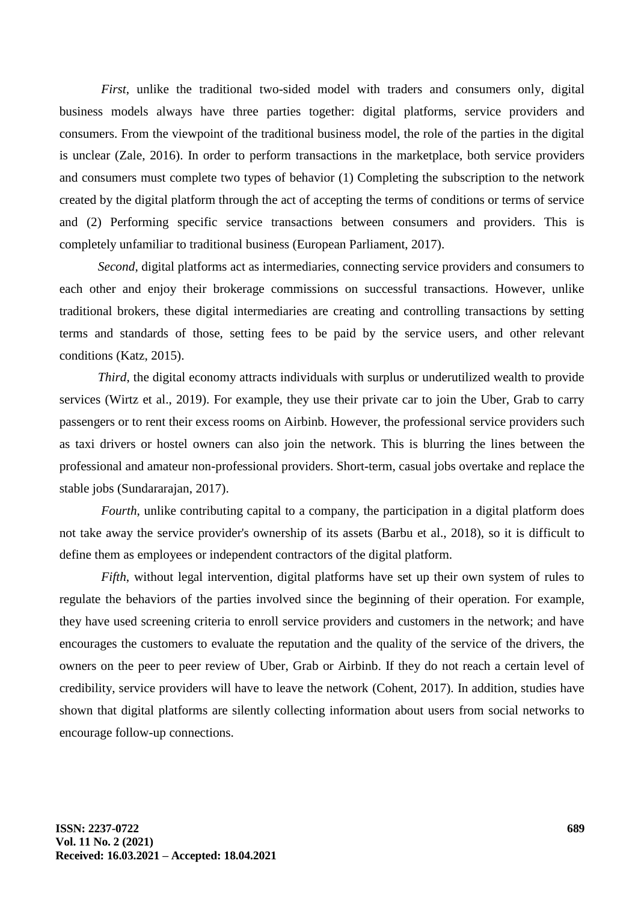*First*, unlike the traditional two-sided model with traders and consumers only, digital business models always have three parties together: digital platforms, service providers and consumers. From the viewpoint of the traditional business model, the role of the parties in the digital is unclear (Zale, 2016). In order to perform transactions in the marketplace, both service providers and consumers must complete two types of behavior (1) Completing the subscription to the network created by the digital platform through the act of accepting the terms of conditions or terms of service and (2) Performing specific service transactions between consumers and providers. This is completely unfamiliar to traditional business (European Parliament, 2017).

*Second*, digital platforms act as intermediaries, connecting service providers and consumers to each other and enjoy their brokerage commissions on successful transactions. However, unlike traditional brokers, these digital intermediaries are creating and controlling transactions by setting terms and standards of those, setting fees to be paid by the service users, and other relevant conditions (Katz, 2015).

*Third*, the digital economy attracts individuals with surplus or underutilized wealth to provide services (Wirtz et al., 2019). For example, they use their private car to join the Uber, Grab to carry passengers or to rent their excess rooms on Airbinb. However, the professional service providers such as taxi drivers or hostel owners can also join the network. This is blurring the lines between the professional and amateur non-professional providers. Short-term, casual jobs overtake and replace the stable jobs (Sundararajan, 2017).

*Fourth*, unlike contributing capital to a company, the participation in a digital platform does not take away the service provider's ownership of its assets (Barbu et al., 2018), so it is difficult to define them as employees or independent contractors of the digital platform.

*Fifth*, without legal intervention, digital platforms have set up their own system of rules to regulate the behaviors of the parties involved since the beginning of their operation. For example, they have used screening criteria to enroll service providers and customers in the network; and have encourages the customers to evaluate the reputation and the quality of the service of the drivers, the owners on the peer to peer review of Uber, Grab or Airbinb. If they do not reach a certain level of credibility, service providers will have to leave the network (Cohent, 2017). In addition, studies have shown that digital platforms are silently collecting information about users from social networks to encourage follow-up connections.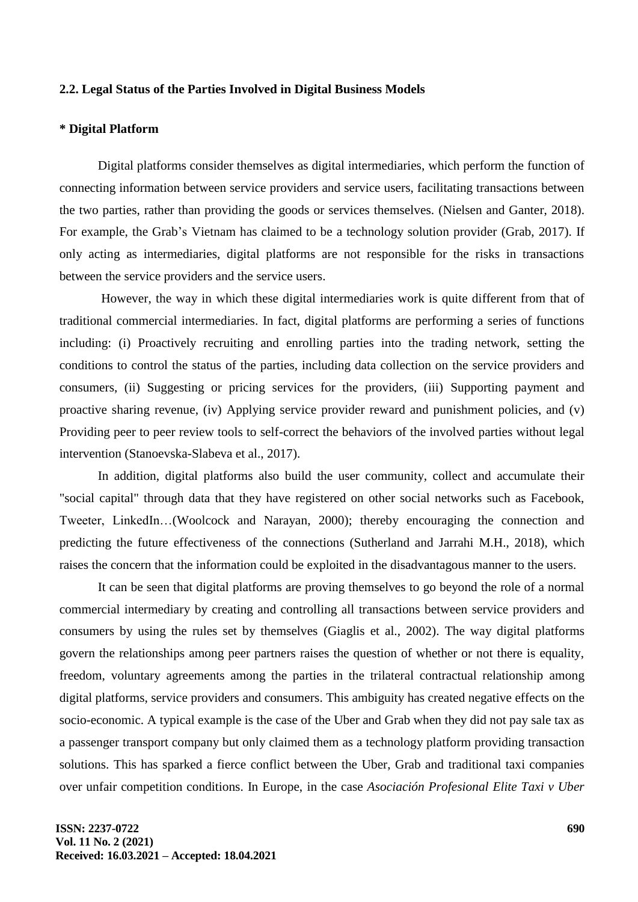# **2.2. Legal Status of the Parties Involved in Digital Business Models**

### **\* Digital Platform**

Digital platforms consider themselves as digital intermediaries, which perform the function of connecting information between service providers and service users, facilitating transactions between the two parties, rather than providing the goods or services themselves. (Nielsen and Ganter, 2018). For example, the Grab's Vietnam has claimed to be a technology solution provider (Grab, 2017). If only acting as intermediaries, digital platforms are not responsible for the risks in transactions between the service providers and the service users.

However, the way in which these digital intermediaries work is quite different from that of traditional commercial intermediaries. In fact, digital platforms are performing a series of functions including: (i) Proactively recruiting and enrolling parties into the trading network, setting the conditions to control the status of the parties, including data collection on the service providers and consumers, (ii) Suggesting or pricing services for the providers, (iii) Supporting payment and proactive sharing revenue, (iv) Applying service provider reward and punishment policies, and (v) Providing peer to peer review tools to self-correct the behaviors of the involved parties without legal intervention (Stanoevska-Slabeva et al., 2017).

In addition, digital platforms also build the user community, collect and accumulate their "social capital" through data that they have registered on other social networks such as Facebook, Tweeter, LinkedIn…(Woolcock and Narayan, 2000); thereby encouraging the connection and predicting the future effectiveness of the connections (Sutherland and Jarrahi M.H., 2018), which raises the concern that the information could be exploited in the disadvantagous manner to the users.

It can be seen that digital platforms are proving themselves to go beyond the role of a normal commercial intermediary by creating and controlling all transactions between service providers and consumers by using the rules set by themselves (Giaglis et al., 2002). The way digital platforms govern the relationships among peer partners raises the question of whether or not there is equality, freedom, voluntary agreements among the parties in the trilateral contractual relationship among digital platforms, service providers and consumers. This ambiguity has created negative effects on the socio-economic. A typical example is the case of the Uber and Grab when they did not pay sale tax as a passenger transport company but only claimed them as a technology platform providing transaction solutions. This has sparked a fierce conflict between the Uber, Grab and traditional taxi companies over unfair competition conditions. In Europe, in the case *Asociación Profesional Elite Taxi v Uber*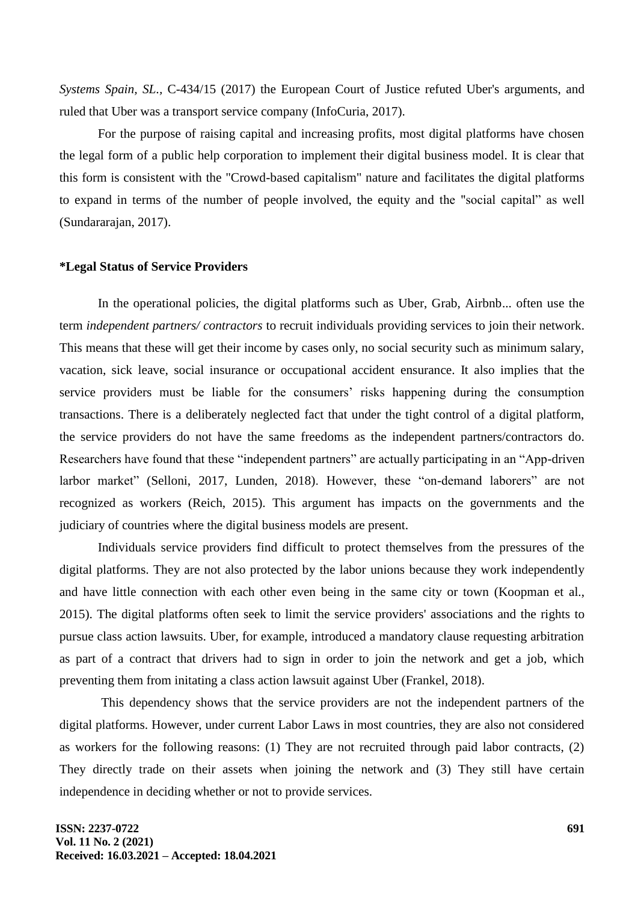*Systems Spain, SL.,* C-434/15 (2017) the European Court of Justice refuted Uber's arguments, and ruled that Uber was a transport service company (InfoCuria, 2017).

For the purpose of raising capital and increasing profits, most digital platforms have chosen the legal form of a public help corporation to implement their digital business model. It is clear that this form is consistent with the "Crowd-based capitalism" nature and facilitates the digital platforms to expand in terms of the number of people involved, the equity and the "social capital" as well (Sundararajan, 2017).

#### **\*Legal Status of Service Providers**

In the operational policies, the digital platforms such as Uber, Grab, Airbnb... often use the term *independent partners/ contractors* to recruit individuals providing services to join their network. This means that these will get their income by cases only, no social security such as minimum salary, vacation, sick leave, social insurance or occupational accident ensurance. It also implies that the service providers must be liable for the consumers' risks happening during the consumption transactions. There is a deliberately neglected fact that under the tight control of a digital platform, the service providers do not have the same freedoms as the independent partners/contractors do. Researchers have found that these "independent partners" are actually participating in an "App-driven larbor market" (Selloni, 2017, Lunden, 2018). However, these "on-demand laborers" are not recognized as workers (Reich, 2015). This argument has impacts on the governments and the judiciary of countries where the digital business models are present.

Individuals service providers find difficult to protect themselves from the pressures of the digital platforms. They are not also protected by the labor unions because they work independently and have little connection with each other even being in the same city or town (Koopman et al., 2015). The digital platforms often seek to limit the service providers' associations and the rights to pursue class action lawsuits. Uber, for example, introduced a mandatory clause requesting arbitration as part of a contract that drivers had to sign in order to join the network and get a job, which preventing them from initating a class action lawsuit against Uber (Frankel, 2018).

This dependency shows that the service providers are not the independent partners of the digital platforms. However, under current Labor Laws in most countries, they are also not considered as workers for the following reasons: (1) They are not recruited through paid labor contracts, (2) They directly trade on their assets when joining the network and (3) They still have certain independence in deciding whether or not to provide services.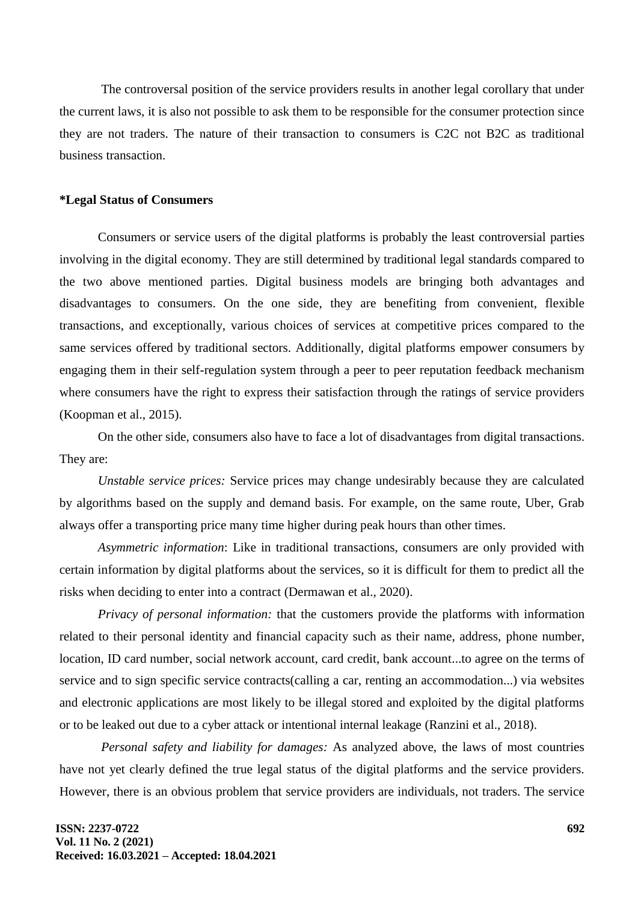The controversal position of the service providers results in another legal corollary that under the current laws, it is also not possible to ask them to be responsible for the consumer protection since they are not traders. The nature of their transaction to consumers is C2C not B2C as traditional business transaction.

# **\*Legal Status of Consumers**

Consumers or service users of the digital platforms is probably the least controversial parties involving in the digital economy. They are still determined by traditional legal standards compared to the two above mentioned parties. Digital business models are bringing both advantages and disadvantages to consumers. On the one side, they are benefiting from convenient, flexible transactions, and exceptionally, various choices of services at competitive prices compared to the same services offered by traditional sectors. Additionally, digital platforms empower consumers by engaging them in their self-regulation system through a peer to peer reputation feedback mechanism where consumers have the right to express their satisfaction through the ratings of service providers (Koopman et al., 2015).

On the other side, consumers also have to face a lot of disadvantages from digital transactions. They are:

*Unstable service prices:* Service prices may change undesirably because they are calculated by algorithms based on the supply and demand basis. For example, on the same route, Uber, Grab always offer a transporting price many time higher during peak hours than other times.

*Asymmetric information*: Like in traditional transactions, consumers are only provided with certain information by digital platforms about the services, so it is difficult for them to predict all the risks when deciding to enter into a contract (Dermawan et al., 2020).

*Privacy of personal information:* that the customers provide the platforms with information related to their personal identity and financial capacity such as their name, address, phone number, location, ID card number, social network account, card credit, bank account...to agree on the terms of service and to sign specific service contracts(calling a car, renting an accommodation...) via websites and electronic applications are most likely to be illegal stored and exploited by the digital platforms or to be leaked out due to a cyber attack or intentional internal leakage (Ranzini et al., 2018).

*Personal safety and liability for damages:* As analyzed above, the laws of most countries have not yet clearly defined the true legal status of the digital platforms and the service providers. However, there is an obvious problem that service providers are individuals, not traders. The service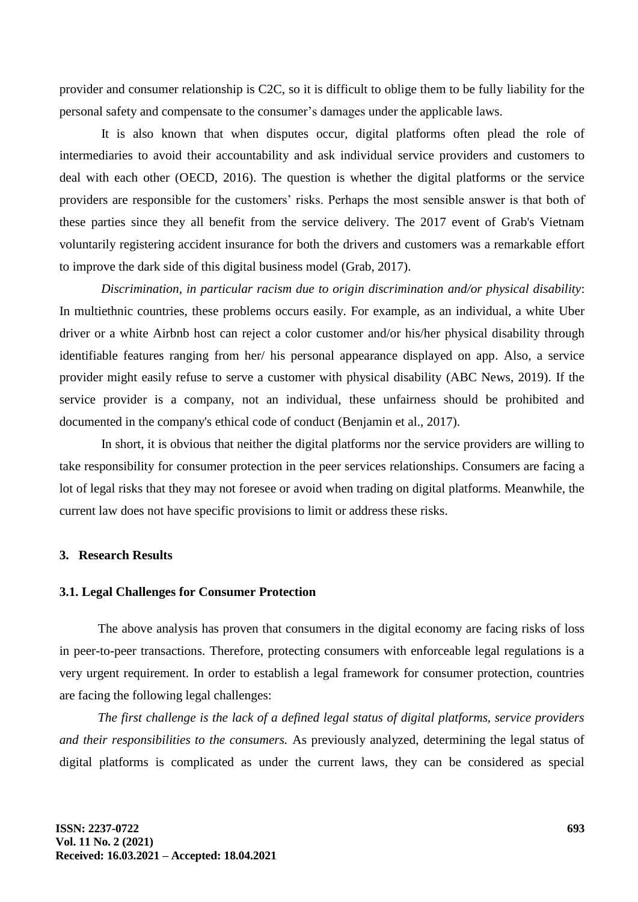provider and consumer relationship is C2C, so it is difficult to oblige them to be fully liability for the personal safety and compensate to the consumer's damages under the applicable laws.

It is also known that when disputes occur, digital platforms often plead the role of intermediaries to avoid their accountability and ask individual service providers and customers to deal with each other (OECD, 2016). The question is whether the digital platforms or the service providers are responsible for the customers' risks. Perhaps the most sensible answer is that both of these parties since they all benefit from the service delivery. The 2017 event of Grab's Vietnam voluntarily registering accident insurance for both the drivers and customers was a remarkable effort to improve the dark side of this digital business model (Grab, 2017).

*Discrimination, in particular racism due to origin discrimination and/or physical disability*: In multiethnic countries, these problems occurs easily. For example, as an individual, a white Uber driver or a white Airbnb host can reject a color customer and/or his/her physical disability through identifiable features ranging from her/ his personal appearance displayed on app. Also, a service provider might easily refuse to serve a customer with physical disability (ABC News, 2019). If the service provider is a company, not an individual, these unfairness should be prohibited and documented in the company's ethical code of conduct (Benjamin et al., 2017).

In short, it is obvious that neither the digital platforms nor the service providers are willing to take responsibility for consumer protection in the peer services relationships. Consumers are facing a lot of legal risks that they may not foresee or avoid when trading on digital platforms. Meanwhile, the current law does not have specific provisions to limit or address these risks.

### **3. Research Results**

### **3.1. Legal Challenges for Consumer Protection**

The above analysis has proven that consumers in the digital economy are facing risks of loss in peer-to-peer transactions. Therefore, protecting consumers with enforceable legal regulations is a very urgent requirement. In order to establish a legal framework for consumer protection, countries are facing the following legal challenges:

*The first challenge is the lack of a defined legal status of digital platforms, service providers and their responsibilities to the consumers.* As previously analyzed, determining the legal status of digital platforms is complicated as under the current laws, they can be considered as special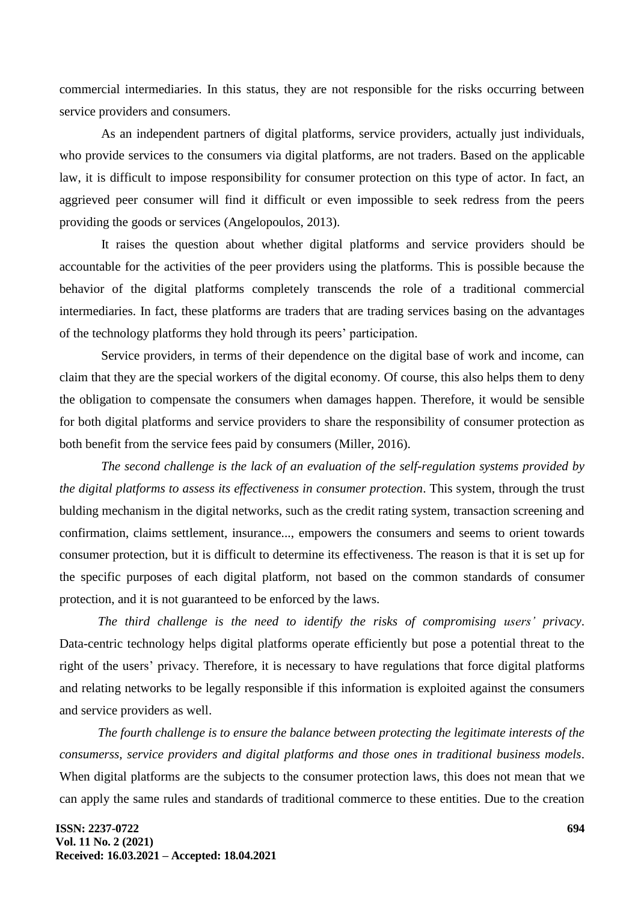commercial intermediaries. In this status, they are not responsible for the risks occurring between service providers and consumers.

As an independent partners of digital platforms, service providers, actually just individuals, who provide services to the consumers via digital platforms, are not traders. Based on the applicable law, it is difficult to impose responsibility for consumer protection on this type of actor. In fact, an aggrieved peer consumer will find it difficult or even impossible to seek redress from the peers providing the goods or services (Angelopoulos, 2013).

It raises the question about whether digital platforms and service providers should be accountable for the activities of the peer providers using the platforms. This is possible because the behavior of the digital platforms completely transcends the role of a traditional commercial intermediaries. In fact, these platforms are traders that are trading services basing on the advantages of the technology platforms they hold through its peers' participation.

Service providers, in terms of their dependence on the digital base of work and income, can claim that they are the special workers of the digital economy. Of course, this also helps them to deny the obligation to compensate the consumers when damages happen. Therefore, it would be sensible for both digital platforms and service providers to share the responsibility of consumer protection as both benefit from the service fees paid by consumers (Miller, 2016).

*The second challenge is the lack of an evaluation of the self-regulation systems provided by the digital platforms to assess its effectiveness in consumer protection*. This system, through the trust bulding mechanism in the digital networks, such as the credit rating system, transaction screening and confirmation, claims settlement, insurance..., empowers the consumers and seems to orient towards consumer protection, but it is difficult to determine its effectiveness. The reason is that it is set up for the specific purposes of each digital platform, not based on the common standards of consumer protection, and it is not guaranteed to be enforced by the laws.

*The third challenge is the need to identify the risks of compromising users' privacy*. Data-centric technology helps digital platforms operate efficiently but pose a potential threat to the right of the users' privacy. Therefore, it is necessary to have regulations that force digital platforms and relating networks to be legally responsible if this information is exploited against the consumers and service providers as well.

*The fourth challenge is to ensure the balance between protecting the legitimate interests of the consumerss, service providers and digital platforms and those ones in traditional business models*. When digital platforms are the subjects to the consumer protection laws, this does not mean that we can apply the same rules and standards of traditional commerce to these entities. Due to the creation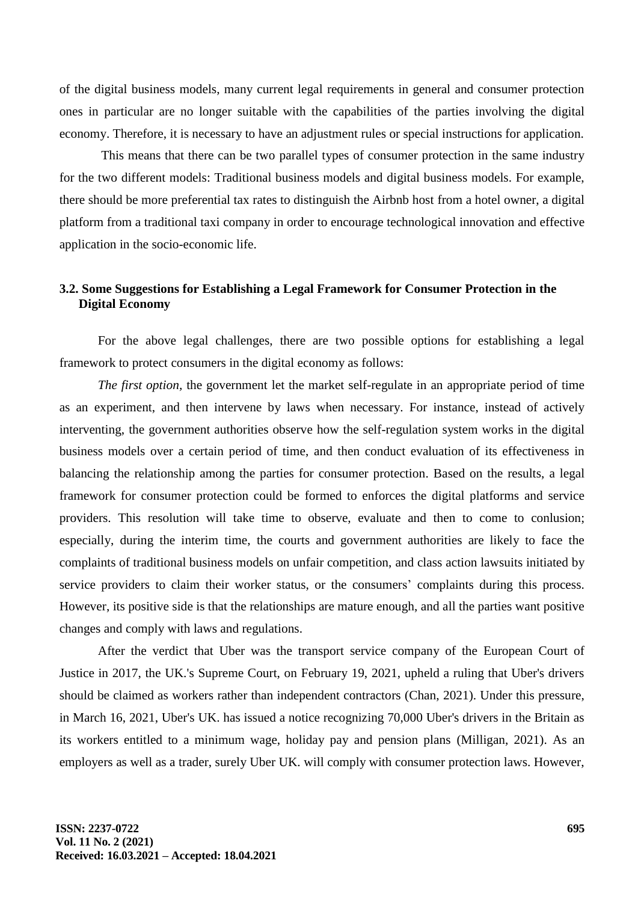of the digital business models, many current legal requirements in general and consumer protection ones in particular are no longer suitable with the capabilities of the parties involving the digital economy. Therefore, it is necessary to have an adjustment rules or special instructions for application.

This means that there can be two parallel types of consumer protection in the same industry for the two different models: Traditional business models and digital business models. For example, there should be more preferential tax rates to distinguish the Airbnb host from a hotel owner, a digital platform from a traditional taxi company in order to encourage technological innovation and effective application in the socio-economic life.

# **3.2. Some Suggestions for Establishing a Legal Framework for Consumer Protection in the Digital Economy**

For the above legal challenges, there are two possible options for establishing a legal framework to protect consumers in the digital economy as follows:

*The first option,* the government let the market self-regulate in an appropriate period of time as an experiment, and then intervene by laws when necessary. For instance, instead of actively interventing, the government authorities observe how the self-regulation system works in the digital business models over a certain period of time, and then conduct evaluation of its effectiveness in balancing the relationship among the parties for consumer protection. Based on the results, a legal framework for consumer protection could be formed to enforces the digital platforms and service providers. This resolution will take time to observe, evaluate and then to come to conlusion; especially, during the interim time, the courts and government authorities are likely to face the complaints of traditional business models on unfair competition, and class action lawsuits initiated by service providers to claim their worker status, or the consumers' complaints during this process. However, its positive side is that the relationships are mature enough, and all the parties want positive changes and comply with laws and regulations.

After the verdict that Uber was the transport service company of the European Court of Justice in 2017, the UK.'s Supreme Court, on February 19, 2021, upheld a ruling that Uber's drivers should be claimed as workers rather than independent contractors (Chan, 2021). Under this pressure, in March 16, 2021, Uber's UK. has issued a notice recognizing 70,000 Uber's drivers in the Britain as its workers entitled to a minimum wage, holiday pay and pension plans (Milligan, 2021). As an employers as well as a trader, surely Uber UK. will comply with consumer protection laws. However,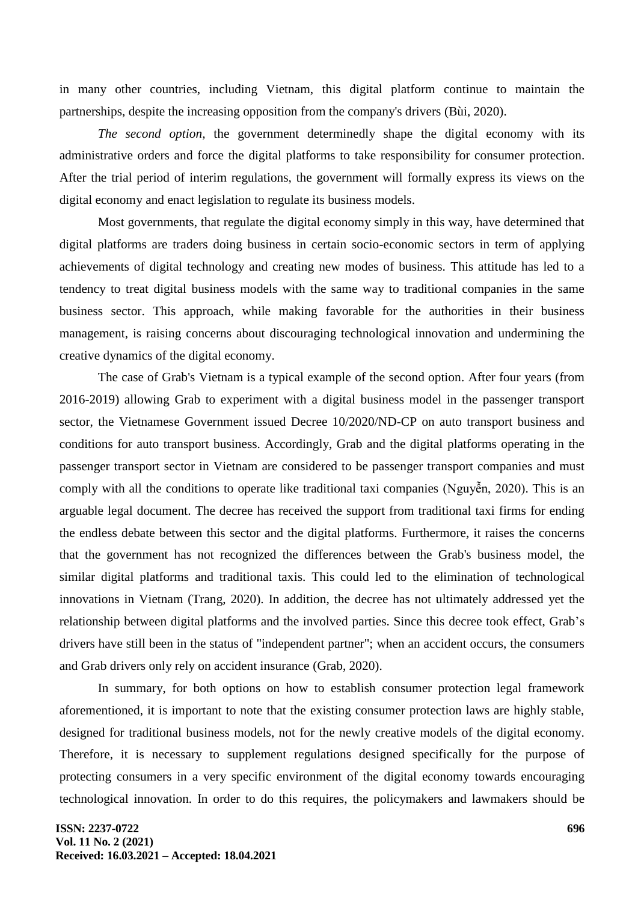in many other countries, including Vietnam, this digital platform continue to maintain the partnerships, despite the increasing opposition from the company's drivers (Bùi, 2020).

*The second option,* the government determinedly shape the digital economy with its administrative orders and force the digital platforms to take responsibility for consumer protection. After the trial period of interim regulations, the government will formally express its views on the digital economy and enact legislation to regulate its business models.

Most governments, that regulate the digital economy simply in this way, have determined that digital platforms are traders doing business in certain socio-economic sectors in term of applying achievements of digital technology and creating new modes of business. This attitude has led to a tendency to treat digital business models with the same way to traditional companies in the same business sector. This approach, while making favorable for the authorities in their business management, is raising concerns about discouraging technological innovation and undermining the creative dynamics of the digital economy.

The case of Grab's Vietnam is a typical example of the second option. After four years (from 2016-2019) allowing Grab to experiment with a digital business model in the passenger transport sector, the Vietnamese Government issued Decree 10/2020/ND-CP on auto transport business and conditions for auto transport business. Accordingly, Grab and the digital platforms operating in the passenger transport sector in Vietnam are considered to be passenger transport companies and must comply with all the conditions to operate like traditional taxi companies (Nguyễn, 2020). This is an arguable legal document. The decree has received the support from traditional taxi firms for ending the endless debate between this sector and the digital platforms. Furthermore, it raises the concerns that the government has not recognized the differences between the Grab's business model, the similar digital platforms and traditional taxis. This could led to the elimination of technological innovations in Vietnam (Trang, 2020). In addition, the decree has not ultimately addressed yet the relationship between digital platforms and the involved parties. Since this decree took effect, Grab's drivers have still been in the status of "independent partner"; when an accident occurs, the consumers and Grab drivers only rely on accident insurance (Grab, 2020).

In summary, for both options on how to establish consumer protection legal framework aforementioned, it is important to note that the existing consumer protection laws are highly stable, designed for traditional business models, not for the newly creative models of the digital economy. Therefore, it is necessary to supplement regulations designed specifically for the purpose of protecting consumers in a very specific environment of the digital economy towards encouraging technological innovation. In order to do this requires, the policymakers and lawmakers should be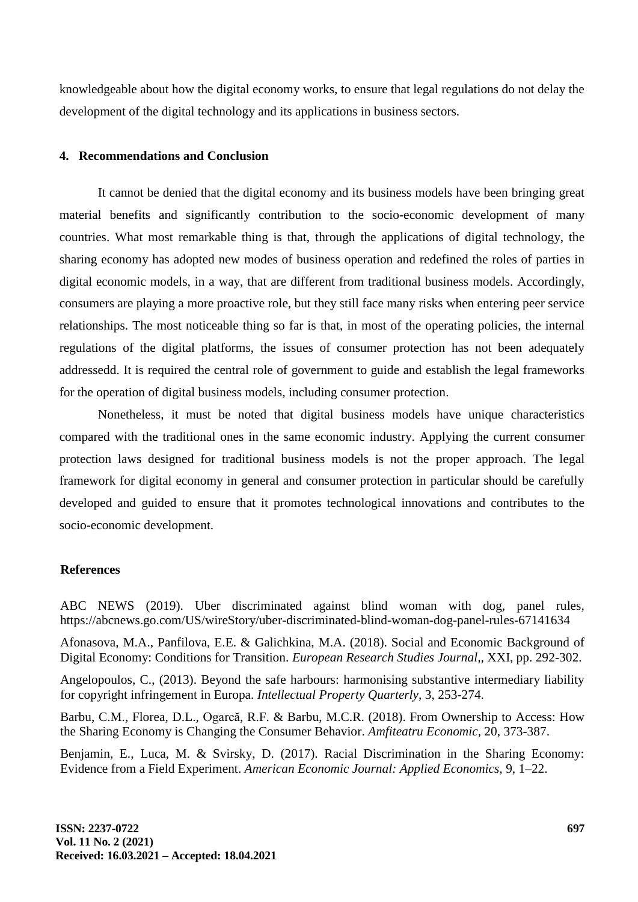knowledgeable about how the digital economy works, to ensure that legal regulations do not delay the development of the digital technology and its applications in business sectors.

# **4. Recommendations and Conclusion**

It cannot be denied that the digital economy and its business models have been bringing great material benefits and significantly contribution to the socio-economic development of many countries. What most remarkable thing is that, through the applications of digital technology, the sharing economy has adopted new modes of business operation and redefined the roles of parties in digital economic models, in a way, that are different from traditional business models. Accordingly, consumers are playing a more proactive role, but they still face many risks when entering peer service relationships. The most noticeable thing so far is that, in most of the operating policies, the internal regulations of the digital platforms, the issues of consumer protection has not been adequately addressedd. It is required the central role of government to guide and establish the legal frameworks for the operation of digital business models, including consumer protection.

Nonetheless, it must be noted that digital business models have unique characteristics compared with the traditional ones in the same economic industry. Applying the current consumer protection laws designed for traditional business models is not the proper approach. The legal framework for digital economy in general and consumer protection in particular should be carefully developed and guided to ensure that it promotes technological innovations and contributes to the socio-economic development.

# **References**

ABC NEWS (2019). Uber discriminated against blind woman with dog, panel rules, https://abcnews.go.com/US/wireStory/uber-discriminated-blind-woman-dog-panel-rules-67141634

Afonasova, M.A., Panfilova, E.E. & Galichkina, M.A. (2018). Social and Economic Background of Digital Economy: Conditions for Transition. *European Research Studies Journal,,* XXI, pp. 292-302.

Angelopoulos, C., (2013). Beyond the safe harbours: harmonising substantive intermediary liability for copyright infringement in Europa. *Intellectual Property Quarterly,* 3, 253-274.

Barbu, C.M., Florea, D.L., Ogarcă, R.F. & Barbu, M.C.R. (2018). From Ownership to Access: How the Sharing Economy is Changing the Consumer Behavior. *Amfiteatru Economic,* 20, 373-387.

Benjamin, E., Luca, M. & Svirsky, D. (2017). Racial Discrimination in the Sharing Economy: Evidence from a Field Experiment. *American Economic Journal: Applied Economics,* 9, 1–22.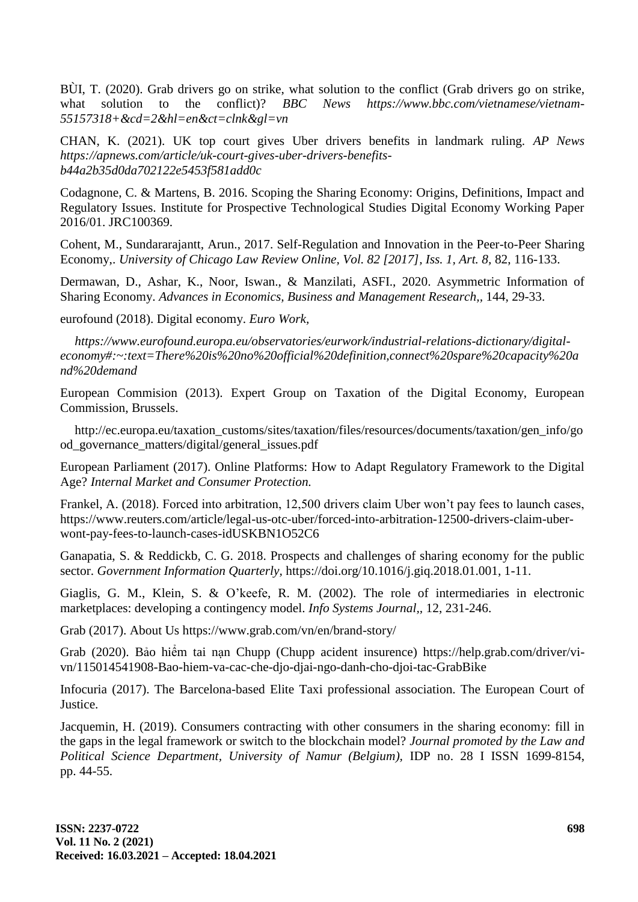BÙI, T. (2020). Grab drivers go on strike, what solution to the conflict (Grab drivers go on strike, what solution to the conflict)? *BBC News https://www.bbc.com/vietnamese/vietnam-55157318+&cd=2&hl=en&ct=clnk&gl=vn* 

CHAN, K. (2021). UK top court gives Uber drivers benefits in landmark ruling. *AP News https://apnews.com/article/uk-court-gives-uber-drivers-benefitsb44a2b35d0da702122e5453f581add0c* 

Codagnone, C. & Martens, B. 2016. Scoping the Sharing Economy: Origins, Definitions, Impact and Regulatory Issues. Institute for Prospective Technological Studies Digital Economy Working Paper 2016/01. JRC100369.

Cohent, M., Sundararajantt, Arun., 2017. Self-Regulation and Innovation in the Peer-to-Peer Sharing Economy,. *University of Chicago Law Review Online, Vol. 82 [2017], Iss. 1, Art. 8,* 82, 116-133.

Dermawan, D., Ashar, K., Noor, Iswan., & Manzilati, ASFI., 2020. Asymmetric Information of Sharing Economy. *Advances in Economics, Business and Management Research,,* 144, 29-33.

eurofound (2018). Digital economy. *Euro Work,*

*https://www.eurofound.europa.eu/observatories/eurwork/industrial-relations-dictionary/digitaleconomy#:~:text=There%20is%20no%20official%20definition,connect%20spare%20capacity%20a nd%20demand* 

European Commision (2013). Expert Group on Taxation of the Digital Economy, European Commission, Brussels.

http://ec.europa.eu/taxation\_customs/sites/taxation/files/resources/documents/taxation/gen\_info/go od\_governance\_matters/digital/general\_issues.pdf

European Parliament (2017). Online Platforms: How to Adapt Regulatory Framework to the Digital Age? *Internal Market and Consumer Protection.*

Frankel, A. (2018). Forced into arbitration, 12,500 drivers claim Uber won't pay fees to launch cases, https://www.reuters.com/article/legal-us-otc-uber/forced-into-arbitration-12500-drivers-claim-uberwont-pay-fees-to-launch-cases-idUSKBN1O52C6

Ganapatia, S. & Reddickb, C. G. 2018. Prospects and challenges of sharing economy for the public sector. *Government Information Quarterly,* https://doi.org/10.1016/j.giq.2018.01.001, 1-11.

Giaglis, G. M., Klein, S. & O'keefe, R. M. (2002). The role of intermediaries in electronic marketplaces: developing a contingency model. *Info Systems Journal,,* 12, 231-246.

Grab (2017). About Us https://www.grab.com/vn/en/brand-story/

Grab (2020). Bảo hiểm tai nạn Chupp (Chupp acident insurence) https://help.grab.com/driver/vivn/115014541908-Bao-hiem-va-cac-che-djo-djai-ngo-danh-cho-djoi-tac-GrabBike

Infocuria (2017). The Barcelona-based Elite Taxi professional association. The European Court of **Justice** 

Jacquemin, H. (2019). Consumers contracting with other consumers in the sharing economy: fill in the gaps in the legal framework or switch to the blockchain model? *Journal promoted by the Law and Political Science Department, University of Namur (Belgium),* IDP no. 28 I ISSN 1699-8154, pp. 44-55.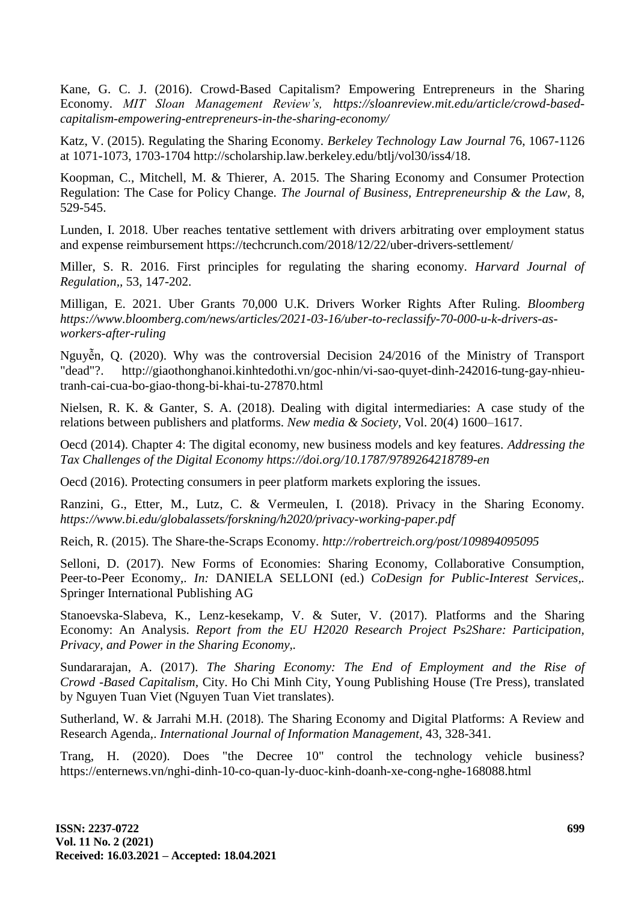Kane, G. C. J. (2016). Crowd-Based Capitalism? Empowering Entrepreneurs in the Sharing Economy. *MIT Sloan Management Review's, https://sloanreview.mit.edu/article/crowd-basedcapitalism-empowering-entrepreneurs-in-the-sharing-economy/*

Katz, V. (2015). Regulating the Sharing Economy. *Berkeley Technology Law Journal* 76, 1067-1126 at 1071-1073, 1703-1704 http://scholarship.law.berkeley.edu/btlj/vol30/iss4/18.

Koopman, C., Mitchell, M. & Thierer, A. 2015. The Sharing Economy and Consumer Protection Regulation: The Case for Policy Change. *The Journal of Business, Entrepreneurship & the Law,* 8, 529-545.

Lunden, I. 2018. Uber reaches tentative settlement with drivers arbitrating over employment status and expense reimbursement https://techcrunch.com/2018/12/22/uber-drivers-settlement/

Miller, S. R. 2016. First principles for regulating the sharing economy. *Harvard Journal of Regulation,,* 53, 147-202.

Milligan, E. 2021. Uber Grants 70,000 U.K. Drivers Worker Rights After Ruling. *Bloomberg https://www.bloomberg.com/news/articles/2021-03-16/uber-to-reclassify-70-000-u-k-drivers-asworkers-after-ruling*

Nguyễn, Q. (2020). Why was the controversial Decision 24/2016 of the Ministry of Transport "dead"?. http://giaothonghanoi.kinhtedothi.vn/goc-nhin/vi-sao-quyet-dinh-242016-tung-gay-nhieutranh-cai-cua-bo-giao-thong-bi-khai-tu-27870.html

Nielsen, R. K. & Ganter, S. A. (2018). Dealing with digital intermediaries: A case study of the relations between publishers and platforms. *New media & Society,* Vol. 20(4) 1600–1617.

Oecd (2014). Chapter 4: The digital economy, new business models and key features. *Addressing the Tax Challenges of the Digital Economy<https://doi.org/10.1787/9789264218789-en>*

Oecd (2016). Protecting consumers in peer platform markets exploring the issues.

Ranzini, G., Etter, M., Lutz, C. & Vermeulen, I. (2018). Privacy in the Sharing Economy. *<https://www.bi.edu/globalassets/forskning/h2020/privacy-working-paper.pdf>*

Reich, R. (2015). The Share-the-Scraps Economy. *http://robertreich.org/post/109894095095*

Selloni, D. (2017). New Forms of Economies: Sharing Economy, Collaborative Consumption, Peer-to-Peer Economy,. *In:* DANIELA SELLONI (ed.) *CoDesign for Public-Interest Services,.* Springer International Publishing AG

Stanoevska-Slabeva, K., Lenz-kesekamp, V. & Suter, V. (2017). Platforms and the Sharing Economy: An Analysis. *Report from the EU H2020 Research Project Ps2Share: Participation, Privacy, and Power in the Sharing Economy,.*

Sundararajan, A. (2017). *The Sharing Economy: The End of Employment and the Rise of Crowd -Based Capitalism,* City. Ho Chi Minh City, Young Publishing House (Tre Press), translated by Nguyen Tuan Viet (Nguyen Tuan Viet translates).

Sutherland, W. & Jarrahi M.H. (2018). The Sharing Economy and Digital Platforms: A Review and Research Agenda,. *International Journal of Information Management,* 43, 328-341.

Trang, H. (2020). Does "the Decree 10" control the technology vehicle business? https://enternews.vn/nghi-dinh-10-co-quan-ly-duoc-kinh-doanh-xe-cong-nghe-168088.html